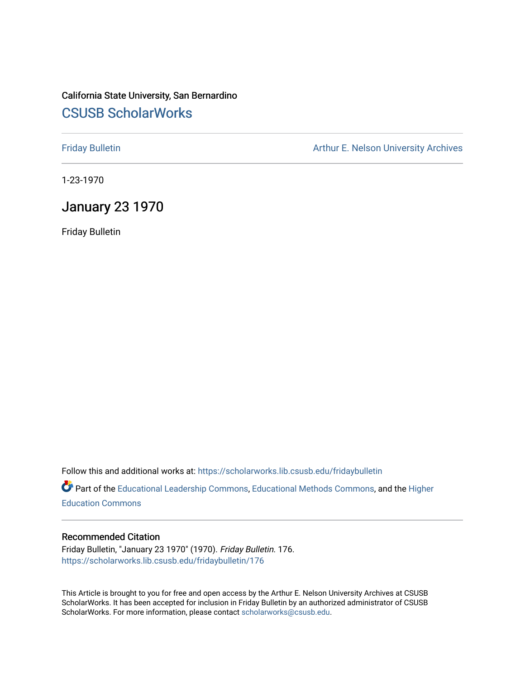## California State University, San Bernardino [CSUSB ScholarWorks](https://scholarworks.lib.csusb.edu/)

[Friday Bulletin](https://scholarworks.lib.csusb.edu/fridaybulletin) **Arthur E. Nelson University Archives** Arthur E. Nelson University Archives

1-23-1970

## January 23 1970

Friday Bulletin

Follow this and additional works at: [https://scholarworks.lib.csusb.edu/fridaybulletin](https://scholarworks.lib.csusb.edu/fridaybulletin?utm_source=scholarworks.lib.csusb.edu%2Ffridaybulletin%2F176&utm_medium=PDF&utm_campaign=PDFCoverPages)

Part of the [Educational Leadership Commons,](http://network.bepress.com/hgg/discipline/1230?utm_source=scholarworks.lib.csusb.edu%2Ffridaybulletin%2F176&utm_medium=PDF&utm_campaign=PDFCoverPages) [Educational Methods Commons,](http://network.bepress.com/hgg/discipline/1227?utm_source=scholarworks.lib.csusb.edu%2Ffridaybulletin%2F176&utm_medium=PDF&utm_campaign=PDFCoverPages) and the [Higher](http://network.bepress.com/hgg/discipline/1245?utm_source=scholarworks.lib.csusb.edu%2Ffridaybulletin%2F176&utm_medium=PDF&utm_campaign=PDFCoverPages) [Education Commons](http://network.bepress.com/hgg/discipline/1245?utm_source=scholarworks.lib.csusb.edu%2Ffridaybulletin%2F176&utm_medium=PDF&utm_campaign=PDFCoverPages) 

## Recommended Citation

Friday Bulletin, "January 23 1970" (1970). Friday Bulletin. 176. [https://scholarworks.lib.csusb.edu/fridaybulletin/176](https://scholarworks.lib.csusb.edu/fridaybulletin/176?utm_source=scholarworks.lib.csusb.edu%2Ffridaybulletin%2F176&utm_medium=PDF&utm_campaign=PDFCoverPages)

This Article is brought to you for free and open access by the Arthur E. Nelson University Archives at CSUSB ScholarWorks. It has been accepted for inclusion in Friday Bulletin by an authorized administrator of CSUSB ScholarWorks. For more information, please contact [scholarworks@csusb.edu.](mailto:scholarworks@csusb.edu)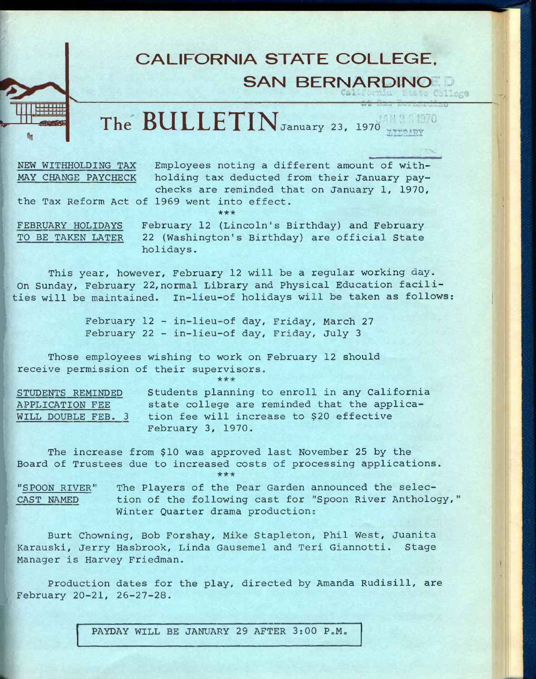## **CALIFORNIA STATE COLLEGE, SAN BERNARDINO**

 $\textbf{H}$  **BULLETIN January 23, 1970**  $\textbf{H}$   $\textbf{H}$ 

**Employees noting a different amount of withholding tax deducted from their January paychecks are reminded that on January 1, 1970, the Tax Reform Act of 1969 went into effect.** 

 $\mathcal{U}$ 

*•kieie* 

**NEW WITHHOLDING TAX MAY CHANGE PAYCHECK** 

**FEBRUARY HOLIDAYS February 12 (Lincoln's Birthday) and February TO BE TAKEN LATER 22 (Washington's Birthday) are official State holidays.** 

**This year, however, February 12 will be a regular working day. On Sunday, February 22,normal Library and Physical Education facilities will be maintained. In-lieu-of holidays will be taken as follows;** 

> **February 12 - in-lieu-of day, Friday, March 27 February 22 - in-lieu-of day, Friday, July 3**

**Those employees wishing to work on February 12 should receive permission of their supervisors. ^ ^** 

| STUDENTS REMINDED  | Students planning to enroll in any California |
|--------------------|-----------------------------------------------|
| APPLICATION FEE    | state college are reminded that the applica-  |
| WILL DOUBLE FEB. 3 | tion fee will increase to \$20 effective      |
| February 3, 1970.  |                                               |

**The increase from \$10 was approved last November 25 by the Board of Trustees due to increased costs of processing applications.**  *ieieie* 

**"SPOON RIVER' CAST NAMED The Players of the Pear Garden announced the selection of the following cast for "Spoon River Anthology," Winter Quarter drama production;** 

**Burt Chowning, Bob Forshay, Mike Stapleton, Phil West, Juanita Karauski, Jerry Hasbrook, Linda Gausemel and Teri Giannotti. Stage Manager is Harvey Friedman.** 

**Production dates for the play, directed by Amanda Rudisill, are February 20-21, 26-27-28.** 

PAYDAY WILL BE JANUARY 29 AFTER 3:00 P.M.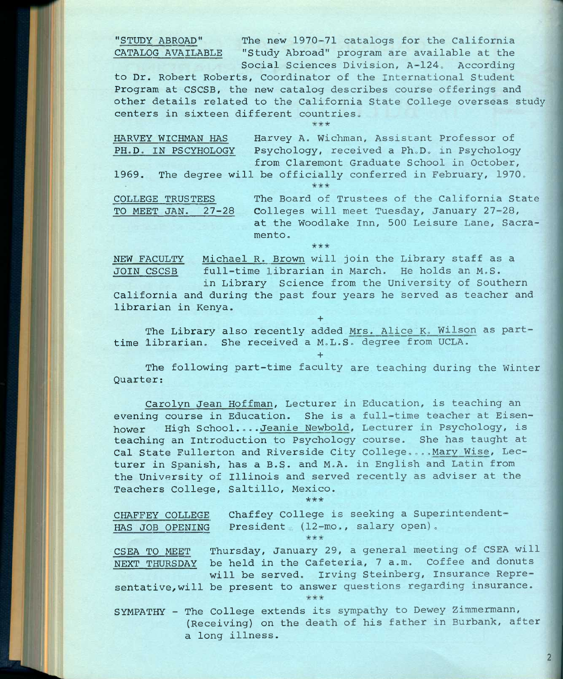**"STUDY ABROAD" The new 1970-71 catalogs for the California CATALOG AVAILABLE "Study Abroad" program are available at the**  Social Sciences Division, A-124. According

**to Dr. Robert Roberts, Coordinator of the International Student Program at CSCSB, the new catalog describes course offerings and other details related to the California State College overseas study**  centers in sixteen different countries.

 $4<sup>h</sup>$ 

**HARVEY WICHMAN HAS Harvey A. Wichman, Assistant Professor of**  PH.D. IN PSCYHOLOGY Psychology, received a Ph.D. in Psychology **from Claremont Graduate School in October,**  1969. The degree will be officially conferred in February, 1970.

**COLLEGE TRUSTEES The Board of Trustees of the California State TO MEET JAN. 27-28 Colleges will meet Tuesday, January 27-28, at the Woodlake Inn, 500 Leisure Lane, Sacramento.** 

**NEW FACULTY Michael R. Brown will join the Library staff as a JOIN CSCSB full-time librarian in March. He holds an M.S.** 

 $444$ 

**in Library Science from the University of Southern California and during the past four years he served as teacher and librarian in Kenya.** 

**+ The Library also recently added Mrs. Alice K. Wilson as parttime librarian. She received a M.L.S. degree from UCLA.** 

**+** 

**The following part-time faculty are teaching during the Winter Quarter;** 

**Carolyn Jean Hoffman, Lecturer in Education, is teaching an evening course in Education. She is a full-time teacher at Eisenhower High School....Jeanie Newbold, Lecturer in Psychology, is teaching an Introduction to Psychology course. She has taught at Cal State Fullerton and Riverside City College....Mary Wise, Lecturer in Spanish, has a B.S- and M.A. in English and Latin from the University of Illinois and served recently as adviser at the Teachers College, Saltillo, Mexico.**  \*\*\*

**CHAFFEY COLLEGE Chaffey College is seeking a Superintendent-HAS JOB OPENING President (12-mo., salary open).** 

**CSEA TO MEET Thursday, January 29, a general meeting of CSEA will NEXT THURSDAY be held in the Cafeteria, 7 a.m. Coffee and donuts will be served. Irving Steinberg, Insurance Representative, will be present to answer questions regarding insurance.** 

**SYMPATHY - The College extends its sympathy to Dewey Zimmermann, (Receiving) on the death of his father in Burbank, after a long illness.** 

 $2<sup>1</sup>$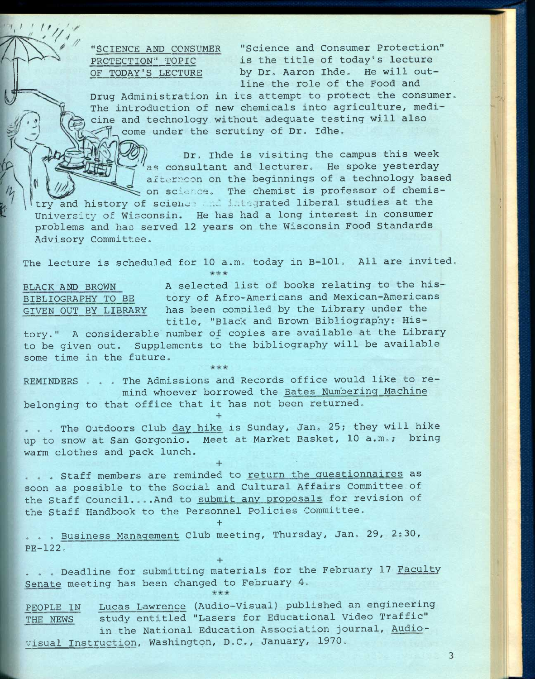**"SCIENCE AND CONSUMER OF TODAY'S LECTURE** 

**PROTECTION" TOPIC is the title of today's lecture "Science and Consumer Protection"**  by Dr. Aaron Ihde. He will out**line the role of the Food and** 

**Drug Administration in its attempt to protect the consumer. The introduction of new chemicals into agriculture, medicine and technology without adequate testing will also come under the scrutiny of Dr. Idhe.** 

> **Dr. Ihde is visiting the campus this week as consultant and lecturer. He spoke yesterday aftorroon on the beginnings of a technology based**  on science. The chemist is professor of chemis-

try and history of science and integrated liberal studies at the **University of Wisconsin. He has had a long interest in consumer problems and has served 12 years on the Wisconsin Food Standards Advisory Committee.** 

The lecture is scheduled for 10 a.m. today in B-101. All are invited.

**BLACK AND BROWN BIBLIOGRAPHY TO BE** 

**A selected list of books relating to the history of Afro-Americans and Mexican-Americans has been compiled by the Library under the GIVEN OUT BY LIBRARY title, "Black and Brown Bibliography; His-**

 $\overline{3}$ 

**tory." A considerable number of copies are available at the Library to be given out. Supplements to the bibliography will be available some time in the future.** 

**REMINDERS . . . The Admissions and Records office would like to remind whoever borrowed the Bates Numbering Machine belonging to that office that it has not been returned.** 

**+ . . . The Outdoors Club day hike is Sunday, Jan. 25; they will hike up to snow at San Gorgonio. Meet at Market Basket, 10 a.m.; bring warm clothes and pack lunch.** 

**+ . . . Staff members are reminded to return the questionnaires as soon as possible to the Social and Cultural Affairs Committee of**  the Staff Council....And to submit any proposals for revision of **the Staff Handbook to the Personnel Policies Committee.** 

**. . . Business Management Club meeting, Thursday, Jan. 29, 2;30,**  PE-122.

**+** 

**+ . . . Deadline for submitting materials for the February 17 Faculty Senate meeting has been changed to February 4.** 

PEOPLE IN Lucas Lawrence (Audio-Visual) published an engineering **THE NEWS study entitled "Lasers for Educational Video Traffic"**  in the National Education Association journal, Audio-

**visual Instruction, Washington, D.C., January, 1970.**